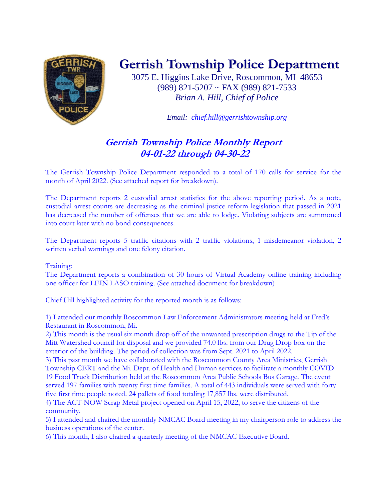

## **Gerrish Township Police Department**

3075 E. Higgins Lake Drive, Roscommon, MI 48653 (989) 821-5207 ~ FAX (989) 821-7533 *Brian A. Hill, Chief of Police*

*Email: [chief.hill@gerrishtownship.org](mailto:chief.hill@gerrishtownship.org)*

## **Gerrish Township Police Monthly Report 04-01-22 through 04-30-22**

The Gerrish Township Police Department responded to a total of 170 calls for service for the month of April 2022. (See attached report for breakdown).

The Department reports 2 custodial arrest statistics for the above reporting period. As a note, custodial arrest counts are decreasing as the criminal justice reform legislation that passed in 2021 has decreased the number of offenses that we are able to lodge. Violating subjects are summoned into court later with no bond consequences.

The Department reports 5 traffic citations with 2 traffic violations, 1 misdemeanor violation, 2 written verbal warnings and one felony citation.

Training:

The Department reports a combination of 30 hours of Virtual Academy online training including one officer for LEIN LASO training. (See attached document for breakdown)

Chief Hill highlighted activity for the reported month is as follows:

1) I attended our monthly Roscommon Law Enforcement Administrators meeting held at Fred's Restaurant in Roscommon, Mi.

2) This month is the usual six month drop off of the unwanted prescription drugs to the Tip of the Mitt Watershed council for disposal and we provided 74.0 lbs. from our Drug Drop box on the exterior of the building. The period of collection was from Sept. 2021 to April 2022.

3) This past month we have collaborated with the Roscommon County Area Ministries, Gerrish Township CERT and the Mi. Dept. of Health and Human services to facilitate a monthly COVID-19 Food Truck Distribution held at the Roscommon Area Public Schools Bus Garage. The event served 197 families with twenty first time families. A total of 443 individuals were served with fortyfive first time people noted. 24 pallets of food totaling 17,857 lbs. were distributed.

4) The ACT-NOW Scrap Metal project opened on April 15, 2022, to serve the citizens of the community.

5) I attended and chaired the monthly NMCAC Board meeting in my chairperson role to address the business operations of the center.

6) This month, I also chaired a quarterly meeting of the NMCAC Executive Board.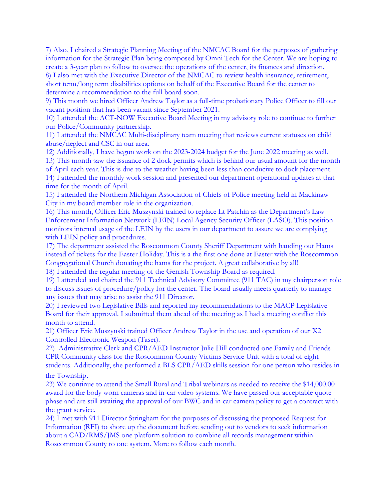7) Also, I chaired a Strategic Planning Meeting of the NMCAC Board for the purposes of gathering information for the Strategic Plan being composed by Omni Tech for the Center. We are hoping to create a 3-year plan to follow to oversee the operations of the center, its finances and direction.

8) I also met with the Executive Director of the NMCAC to review health insurance, retirement, short term/long term disabilities options on behalf of the Executive Board for the center to determine a recommendation to the full board soon.

9) This month we hired Officer Andrew Taylor as a full-time probationary Police Officer to fill our vacant position that has been vacant since September 2021.

10) I attended the ACT-NOW Executive Board Meeting in my advisory role to continue to further our Police/Community partnership.

11) I attended the NMCAC Multi-disciplinary team meeting that reviews current statuses on child abuse/neglect and CSC in our area.

12) Additionally, I have begun work on the 2023-2024 budget for the June 2022 meeting as well.

13) This month saw the issuance of 2 dock permits which is behind our usual amount for the month of April each year. This is due to the weather having been less than conducive to dock placement. 14) I attended the monthly work session and presented our department operational updates at that time for the month of April.

15) I attended the Northern Michigan Association of Chiefs of Police meeting held in Mackinaw City in my board member role in the organization.

16) This month, Officer Eric Muszynski trained to replace Lt Patchin as the Department's Law Enforcement Information Network (LEIN) Local Agency Security Officer (LASO). This position monitors internal usage of the LEIN by the users in our department to assure we are complying with LEIN policy and procedures.

17) The department assisted the Roscommon County Sheriff Department with handing out Hams instead of tickets for the Easter Holiday. This is a the first one done at Easter with the Roscommon Congregational Church donating the hams for the project. A great collaborative by all!

18) I attended the regular meeting of the Gerrish Township Board as required.

19) I attended and chaired the 911 Technical Advisory Committee (911 TAC) in my chairperson role to discuss issues of procedure/policy for the center. The board usually meets quarterly to manage any issues that may arise to assist the 911 Director.

20) I reviewed two Legislative Bills and reported my recommendations to the MACP Legislative Board for their approval. I submitted them ahead of the meeting as I had a meeting conflict this month to attend.

21) Officer Eric Muszynski trained Officer Andrew Taylor in the use and operation of our X2 Controlled Electronic Weapon (Taser).

22) Administrative Clerk and CPR/AED Instructor Julie Hill conducted one Family and Friends CPR Community class for the Roscommon County Victims Service Unit with a total of eight students. Additionally, she performed a BLS CPR/AED skills session for one person who resides in the Township.

23) We continue to attend the Small Rural and Tribal webinars as needed to receive the \$14,000.00 award for the body worn cameras and in-car video systems. We have passed our acceptable quote phase and are still awaiting the approval of our BWC and in car camera policy to get a contract with the grant service.

24) I met with 911 Director Stringham for the purposes of discussing the proposed Request for Information (RFI) to shore up the document before sending out to vendors to seek information about a CAD/RMS/JMS one platform solution to combine all records management within Roscommon County to one system. More to follow each month.